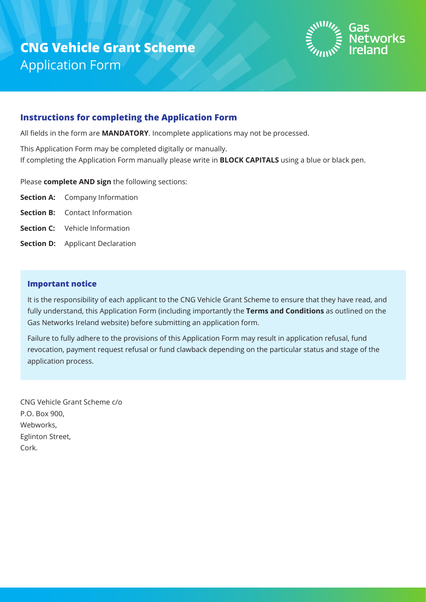

#### **Instructions for completing the Application Form**

All fields in the form are **MANDATORY**. Incomplete applications may not be processed.

This Application Form may be completed digitally or manually.

If completing the Application Form manually please write in **BLOCK CAPITALS** using a blue or black pen.

Please **complete AND sign** the following sections:

- **Section A:** Company Information
- **Section B:** Contact Information
- **Section C:** Vehicle Information
- **Section D:** Applicant Declaration

#### **Important notice**

It is the responsibility of each applicant to the CNG Vehicle Grant Scheme to ensure that they have read, and fully understand, this Application Form (including importantly the **Terms and Conditions** as outlined on the Gas Networks Ireland website) before submitting an application form.

Failure to fully adhere to the provisions of this Application Form may result in application refusal, fund revocation, payment request refusal or fund clawback depending on the particular status and stage of the application process.

CNG Vehicle Grant Scheme c/o P.O. Box 900, Webworks, Eglinton Street, Cork.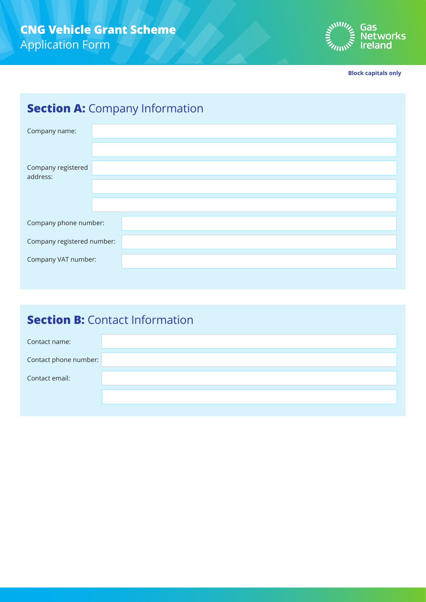

**Block capitals only**

# **Section A: Company Information**

| Company name:                  |  |
|--------------------------------|--|
| Company registered<br>address: |  |
| Company phone number:          |  |
| Company registered number:     |  |
| Company VAT number:            |  |

## **Section B:** Contact Information

| Contact name:         |  |
|-----------------------|--|
| Contact phone number: |  |
| Contact email:        |  |
|                       |  |
|                       |  |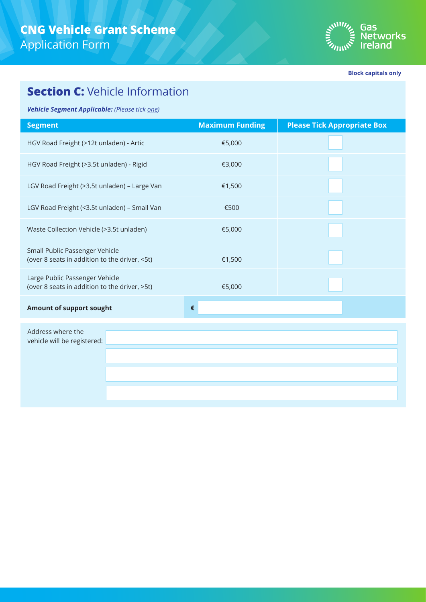

**Block capitals only**

### **Section C: Vehicle Information**

*Vehicle Segment Applicable: (Please tick one)*

| <b>Segment</b>                                                                  | <b>Maximum Funding</b> | <b>Please Tick Appropriate Box</b> |  |  |  |
|---------------------------------------------------------------------------------|------------------------|------------------------------------|--|--|--|
| HGV Road Freight (>12t unladen) - Artic                                         | €5,000                 |                                    |  |  |  |
| HGV Road Freight (>3.5t unladen) - Rigid                                        | €3,000                 |                                    |  |  |  |
| LGV Road Freight (>3.5t unladen) - Large Van                                    | €1,500                 |                                    |  |  |  |
| LGV Road Freight (<3.5t unladen) - Small Van                                    | €500                   |                                    |  |  |  |
| Waste Collection Vehicle (>3.5t unladen)                                        | €5,000                 |                                    |  |  |  |
| Small Public Passenger Vehicle<br>(over 8 seats in addition to the driver, <5t) | €1,500                 |                                    |  |  |  |
| Large Public Passenger Vehicle<br>(over 8 seats in addition to the driver, >5t) | €5,000                 |                                    |  |  |  |
| <b>Amount of support sought</b>                                                 | €                      |                                    |  |  |  |
| Address where the                                                               |                        |                                    |  |  |  |

vehicle will be registered: